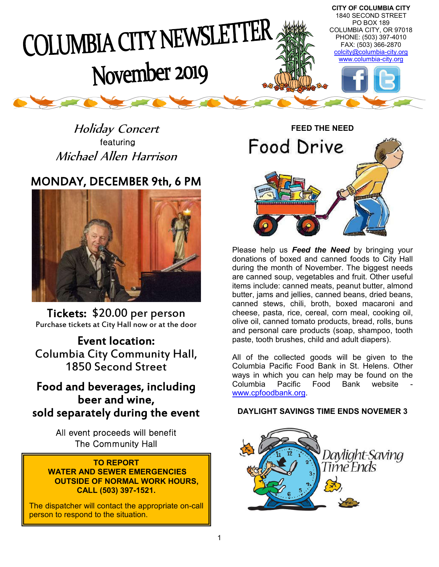

Holiday Concert featuring Michael Allen Harrison

# MONDAY, DECEMBER 9th, 6 PM



 Tickets: \$20.00 per person Purchase tickets at City Hall now or at the door

Event location: Columbia City Community Hall, 1850 Second Street

# Food and beverages, including beer and wine, sold separately during the event

All event proceeds will benefit The Community Hall

#### **TO REPORT WATER AND SEWER EMERGENCIES OUTSIDE OF NORMAL WORK HOURS, CALL (503) 397-1521.**

The dispatcher will contact the appropriate on-call person to respond to the situation.



Please help us *Feed the Need* by bringing your donations of boxed and canned foods to City Hall during the month of November. The biggest needs are canned soup, vegetables and fruit. Other useful items include: canned meats, peanut butter, almond butter, jams and jellies, canned beans, dried beans, canned stews, chili, broth, boxed macaroni and cheese, pasta, rice, cereal, corn meal, cooking oil, olive oil, canned tomato products, bread, rolls, buns and personal care products (soap, shampoo, tooth paste, tooth brushes, child and adult diapers).

All of the collected goods will be given to the Columbia Pacific Food Bank in St. Helens. Other ways in which you can help may be found on the Columbia Pacific Food Bank website www.cpfoodbank.org.

# **DAYLIGHT SAVINGS TIME ENDS NOVEMER 3**

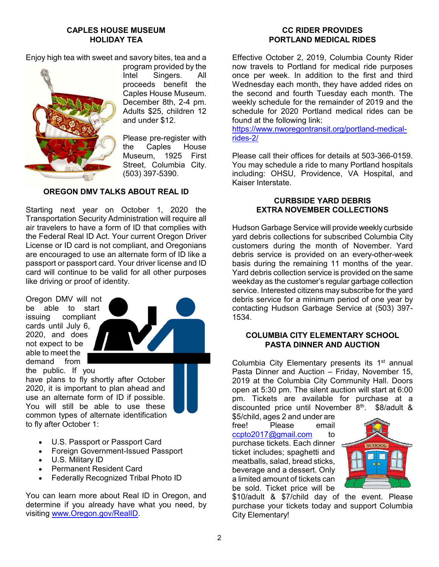#### **CAPLES HOUSE MUSEUM HOLIDAY TEA**

Enjoy high tea with sweet and savory bites, tea and a



program provided by the Intel Singers. All proceeds benefit the Caples House Museum. December 8th, 2-4 pm. Adults \$25, children 12 and under \$12.

Please pre-register with the Caples House Museum, 1925 First Street, Columbia City. (503) 397-5390.

# **OREGON DMV TALKS ABOUT REAL ID**

Starting next year on October 1, 2020 the Transportation Security Administration will require all air travelers to have a form of ID that complies with the Federal Real ID Act. Your current Oregon Driver License or ID card is not compliant, and Oregonians are encouraged to use an alternate form of ID like a passport or passport card. Your driver license and ID card will continue to be valid for all other purposes like driving or proof of identity.

Oregon DMV will not be able to start issuing compliant cards until July 6, 2020, and does not expect to be able to meet the demand from the public. If you



have plans to fly shortly after October 2020, it is important to plan ahead and use an alternate form of ID if possible. You will still be able to use these common types of alternate identification to fly after October 1:

- U.S. Passport or Passport Card
- Foreign Government-Issued Passport
- U.S. Military ID
- Permanent Resident Card
- Federally Recognized Tribal Photo ID

You can learn more about Real ID in Oregon, and determine if you already have what you need, by visiting www.Oregon.gov/RealID.

## **CC RIDER PROVIDES PORTLAND MEDICAL RIDES**

Effective October 2, 2019, Columbia County Rider now travels to Portland for medical ride purposes once per week. In addition to the first and third Wednesday each month, they have added rides on the second and fourth Tuesday each month. The weekly schedule for the remainder of 2019 and the schedule for 2020 Portland medical rides can be found at the following link:

https://www.nworegontransit.org/portland-medicalrides-2/

Please call their offices for details at 503-366-0159. You may schedule a ride to many Portland hospitals including: OHSU, Providence, VA Hospital, and Kaiser Interstate.

## **CURBSIDE YARD DEBRIS EXTRA NOVEMBER COLLECTIONS**

Hudson Garbage Service will provide weekly curbside yard debris collections for subscribed Columbia City customers during the month of November. Yard debris service is provided on an every-other-week basis during the remaining 11 months of the year. Yard debris collection service is provided on the same weekday as the customer's regular garbage collection service. Interested citizens may subscribe for the yard debris service for a minimum period of one year by contacting Hudson Garbage Service at (503) 397- 1534.

# **COLUMBIA CITY ELEMENTARY SCHOOL PASTA DINNER AND AUCTION**

Columbia City Elementary presents its 1<sup>st</sup> annual Pasta Dinner and Auction – Friday, November 15, 2019 at the Columbia City Community Hall. Doors open at 5:30 pm. The silent auction will start at 6:00 pm. Tickets are available for purchase at a discounted price until November 8<sup>th</sup>. \$8/adult &

\$5/child, ages 2 and under are<br>free! Please email Please email ccpto2017@gmail.com to purchase tickets. Each dinner ticket includes; spaghetti and meatballs, salad, bread sticks, beverage and a dessert. Only a limited amount of tickets can be sold. Ticket price will be



\$10/adult & \$7/child day of the event. Please purchase your tickets today and support Columbia City Elementary!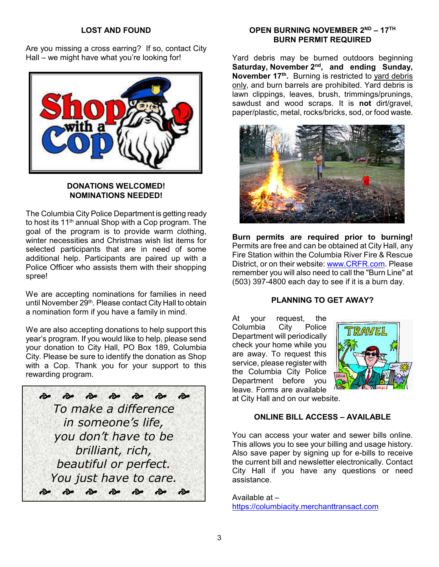#### **LOST AND FOUND**

Are you missing a cross earring? If so, contact City Hall – we might have what you're looking for!



#### **DONATIONS WELCOMED! NOMINATIONS NEEDED!**

The Columbia City Police Department is getting ready to host its 11th annual Shop with a Cop program. The goal of the program is to provide warm clothing, winter necessities and Christmas wish list items for selected participants that are in need of some additional help. Participants are paired up with a Police Officer who assists them with their shopping spree!

We are accepting nominations for families in need until November 29<sup>th</sup>. Please contact City Hall to obtain a nomination form if you have a family in mind.

We are also accepting donations to help support this year's program. If you would like to help, please send your donation to City Hall, PO Box 189, Columbia City. Please be sure to identify the donation as Shop with a Cop. Thank you for your support to this rewarding program.



# **OPEN BURNING NOVEMBER 2ND – 17TH BURN PERMIT REQUIRED**

Yard debris may be burned outdoors beginning Saturday, November 2<sup>nd</sup>, and ending Sunday, **November 17th.** Burning is restricted to yard debris only, and burn barrels are prohibited. Yard debris is lawn clippings, leaves, brush, trimmings/prunings, sawdust and wood scraps. It is **not** dirt/gravel, paper/plastic, metal, rocks/bricks, sod, or food waste.



**Burn permits are required prior to burning!** Permits are free and can be obtained at City Hall, any Fire Station within the Columbia River Fire & Rescue District, or on their website: www.CRFR.com. Please remember you will also need to call the "Burn Line" at (503) 397-4800 each day to see if it is a burn day.

# **PLANNING TO GET AWAY?**

At your request, the Columbia City Police Department will periodically check your home while you are away. To request this service, please register with the Columbia City Police Department before you leave. Forms are available at City Hall and on our website.



# **ONLINE BILL ACCESS – AVAILABLE**

You can access your water and sewer bills online. This allows you to see your billing and usage history. Also save paper by signing up for e-bills to receive the current bill and newsletter electronically. Contact City Hall if you have any questions or need assistance.

Available at – https://columbiacity.merchanttransact.com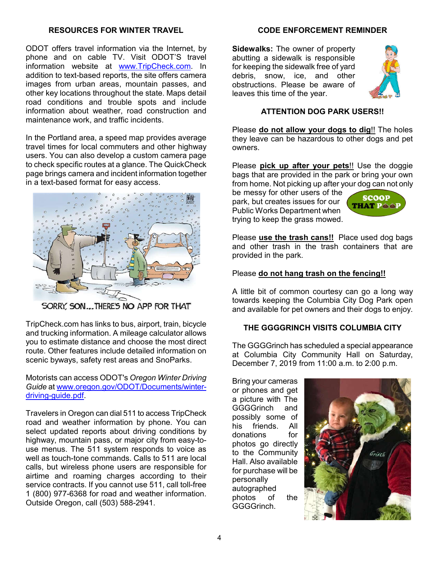#### **RESOURCES FOR WINTER TRAVEL**

ODOT offers travel information via the Internet, by phone and on cable TV. Visit ODOT'S travel information website at www.TripCheck.com. In addition to text-based reports, the site offers camera images from urban areas, mountain passes, and other key locations throughout the state. Maps detail road conditions and trouble spots and include information about weather, road construction and maintenance work, and traffic incidents.

In the Portland area, a speed map provides average travel times for local commuters and other highway users. You can also develop a custom camera page to check specific routes at a glance. The QuickCheck page brings camera and incident information together in a text-based format for easy access.



SORRY, SON...THERE'S NO APP FOR THAT

TripCheck.com has links to bus, airport, train, bicycle and trucking information. A mileage calculator allows you to estimate distance and choose the most direct route. Other features include detailed information on scenic byways, safety rest areas and SnoParks.

Motorists can access ODOT's *Oregon Winter Driving Guide* at www.oregon.gov/ODOT/Documents/winterdriving-guide.pdf.

Travelers in Oregon can dial 511 to access TripCheck road and weather information by phone. You can select updated reports about driving conditions by highway, mountain pass, or major city from easy-touse menus. The 511 system responds to voice as well as touch-tone commands. Calls to 511 are local calls, but wireless phone users are responsible for airtime and roaming charges according to their service contracts. If you cannot use 511, call toll-free 1 (800) 977-6368 for road and weather information. Outside Oregon, call (503) 588-2941.

#### **CODE ENFORCEMENT REMINDER**

**Sidewalks:** The owner of property abutting a sidewalk is responsible for keeping the sidewalk free of yard debris, snow, ice, and other obstructions. Please be aware of leaves this time of the year.



# **ATTENTION DOG PARK USERS!!**

Please **do not allow your dogs to dig**!! The holes they leave can be hazardous to other dogs and pet owners.

Please **pick up after your pets**!! Use the doggie bags that are provided in the park or bring your own from home. Not picking up after your dog can not only

be messy for other users of the park, but creates issues for our Public Works Department when trying to keep the grass mowed.



Please **use the trash cans!!** Place used dog bags and other trash in the trash containers that are provided in the park.

#### Please **do not hang trash on the fencing!!**

A little bit of common courtesy can go a long way towards keeping the Columbia City Dog Park open and available for pet owners and their dogs to enjoy.

#### **THE GGGGRINCH VISITS COLUMBIA CITY**

The GGGGrinch has scheduled a special appearance at Columbia City Community Hall on Saturday, December 7, 2019 from 11:00 a.m. to 2:00 p.m.

Bring your cameras or phones and get a picture with The GGGGrinch and possibly some of<br>his friends All his friends. donations for photos go directly to the Community Hall. Also available for purchase will be personally autographed photos of the GGGGrinch.

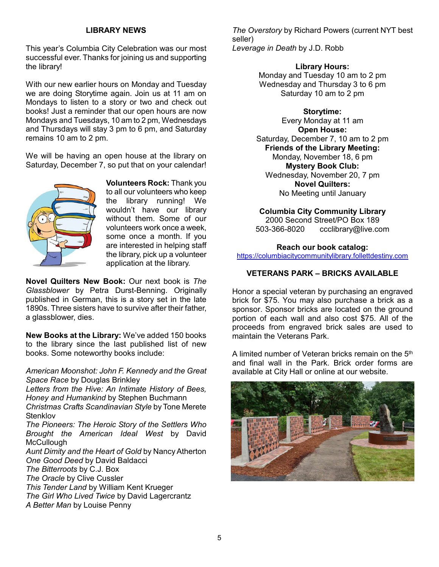## **LIBRARY NEWS**

This year's Columbia City Celebration was our most successful ever. Thanks for joining us and supporting the library!

With our new earlier hours on Monday and Tuesday we are doing Storytime again. Join us at 11 am on Mondays to listen to a story or two and check out books! Just a reminder that our open hours are now Mondays and Tuesdays, 10 am to 2 pm, Wednesdays and Thursdays will stay 3 pm to 6 pm, and Saturday remains 10 am to 2 pm.

We will be having an open house at the library on Saturday, December 7, so put that on your calendar!



**Volunteers Rock:** Thank you to all our volunteers who keep the library running! We wouldn't have our library without them. Some of our volunteers work once a week, some once a month. If you are interested in helping staff the library, pick up a volunteer application at the library.

**Novel Quilters New Book:** Our next book is *The Glassblower* by Petra Durst-Benning. Originally published in German, this is a story set in the late 1890s. Three sisters have to survive after their father, a glassblower, dies.

**New Books at the Library:** We've added 150 books to the library since the last published list of new books. Some noteworthy books include:

*American Moonshot: John F. Kennedy and the Great Space Race* by Douglas Brinkley

*Letters from the Hive: An Intimate History of Bees, Honey and Humankind* by Stephen Buchmann

*Christmas Crafts Scandinavian Style* by Tone Merete **Stenklov** 

*The Pioneers: The Heroic Story of the Settlers Who Brought the American Ideal West* by David **McCullough** 

*Aunt Dimity and the Heart of Gold* by Nancy Atherton *One Good Deed* by David Baldacci

*The Bitterroots* by C.J. Box

*The Oracle* by Clive Cussler

*This Tender Land* by William Kent Krueger

*The Girl Who Lived Twice* by David Lagercrantz

*A Better Man* by Louise Penny

*The Overstory* by Richard Powers (current NYT best seller) *Leverage in Death* by J.D. Robb

#### **Library Hours:**

Monday and Tuesday 10 am to 2 pm Wednesday and Thursday 3 to 6 pm Saturday 10 am to 2 pm

**Storytime:**

Every Monday at 11 am **Open House:** Saturday, December 7, 10 am to 2 pm **Friends of the Library Meeting:** Monday, November 18, 6 pm **Mystery Book Club:** Wednesday, November 20, 7 pm **Novel Quilters:** No Meeting until January

#### **Columbia City Community Library**

2000 Second Street/PO Box 189 503-366-8020 ccclibrary@live.com

#### **Reach our book catalog:**

https://columbiacitycommunitylibrary.follettdestiny.com

#### **VETERANS PARK – BRICKS AVAILABLE**

Honor a special veteran by purchasing an engraved brick for \$75. You may also purchase a brick as a sponsor. Sponsor bricks are located on the ground portion of each wall and also cost \$75. All of the proceeds from engraved brick sales are used to maintain the Veterans Park.

A limited number of Veteran bricks remain on the 5th and final wall in the Park. Brick order forms are available at City Hall or online at our website.